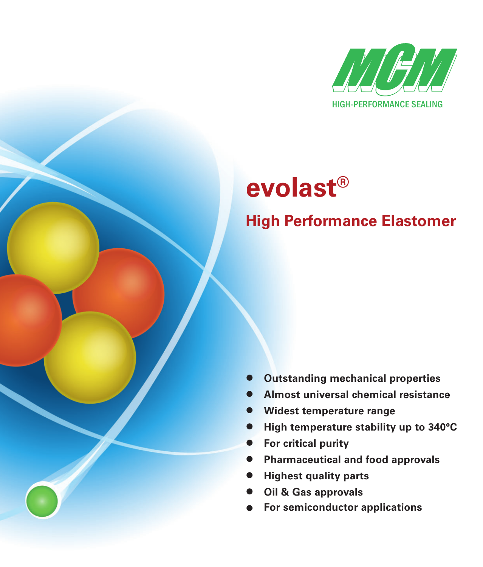

# **evolast®**

## **High Performance Elastomer**

- **Outstanding mechanical properties**
- **Almost universal chemical resistance**
- **Widest temperature range**
- **High temperature stability up to 340°C**
- **For critical purity**
- **Pharmaceutical and food approvals**
- **Highest quality parts**
- **Oil & Gas approvals**
- **For semiconductor applications**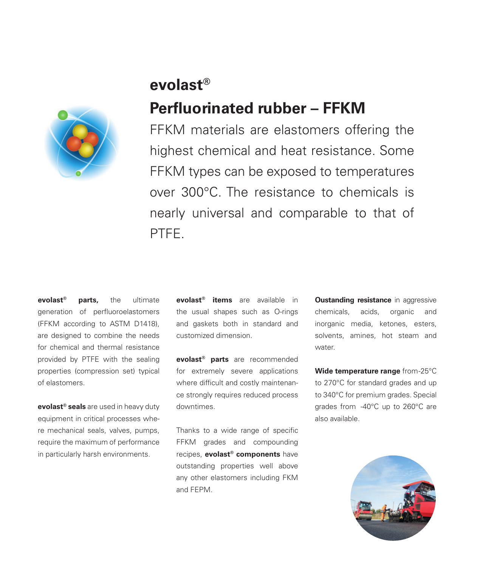### **evolast®**

## **Perfluorinated rubber – FFKM**

FFKM materials are elastomers offering the highest chemical and heat resistance. Some FFKM types can be exposed to temperatures over 300°C. The resistance to chemicals is nearly universal and comparable to that of PTFE.

**evolast® parts,** the ultimate generation of perfluoroelastomers (FFKM according to ASTM D1418), are designed to combine the needs for chemical and thermal resistance provided by PTFE with the sealing properties (compression set) typical of elastomers.

**evolast® seals** are used in heavy duty equipment in critical processes where mechanical seals, valves, pumps, require the maximum of performance in particularly harsh environments.

**evolast® items** are available in the usual shapes such as O-rings and gaskets both in standard and customized dimension.

**evolast® parts** are recommended for extremely severe applications where difficult and costly maintenance strongly requires reduced process downtimes.

Thanks to a wide range of specific FFKM grades and compounding recipes, **evolast® components** have outstanding properties well above any other elastomers including FKM and FEPM.

**Oustanding resistance** in aggressive chemicals, acids, organic and inorganic media, ketones, esters, solvents, amines, hot steam and water.

**Wide temperature range** from -25°C to 270°C for standard grades and up to 340°C for premium grades. Special grades from -40°C up to 260°C are also available.

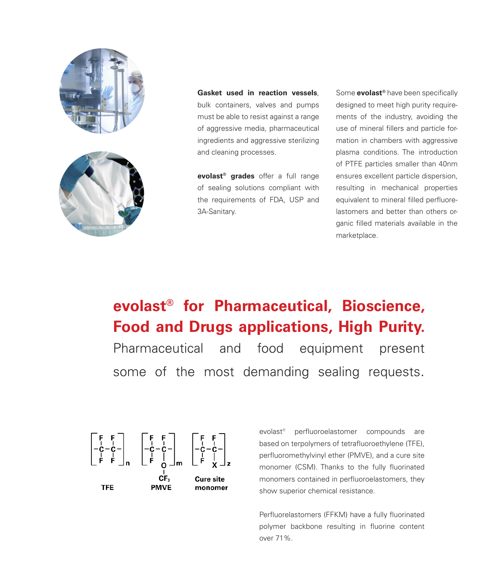



**Gasket used in reaction vessels**, bulk containers, valves and pumps must be able to resist against a range of aggressive media, pharmaceutical ingredients and aggressive sterilizing and cleaning processes.

**evolast<sup>®</sup> grades** offer a full range of sealing solutions compliant with the requirements of FDA, USP and 3A-Sanitary.

Some **evolast<sup>®</sup>** have been specifically designed to meet high purity requirements of the industry, avoiding the use of mineral fillers and particle formation in chambers with aggressive plasma conditions. The introduction of PTFE particles smaller than 40nm ensures excellent particle dispersion, resulting in mechanical properties equivalent to mineral filled perfluorelastomers and better than others organic filled materials available in the marketplace.

## **evolast® for Pharmaceutical, Bioscience, Food and Drugs applications, High Purity.** Pharmaceutical and food equipment present some of the most demanding sealing requests.



evolast<sup>®</sup> perfluoroelastomer compounds are based on terpolymers of tetrafluoroethylene (TFE), perfluoromethylvinyl ether (PMVE), and a cure site monomer (CSM). Thanks to the fully fluorinated monomers contained in perfluoroelastomers, they show superior chemical resistance.

Perfluorelastomers (FFKM) have a fully fluorinated polymer backbone resulting in fluorine content over 71%.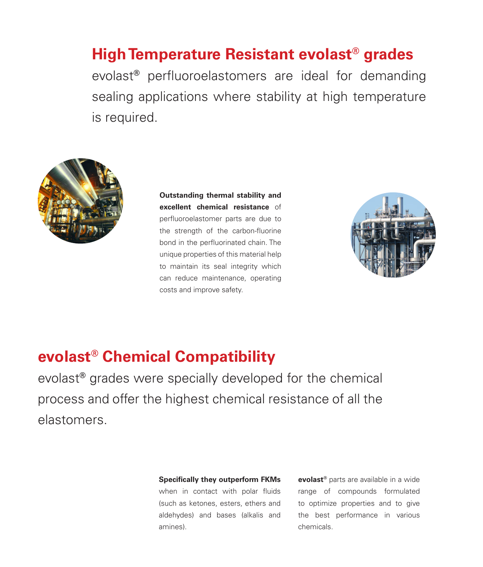## **High Temperature Resistant evolast® grades**

evolast<sup>®</sup> perfluoroelastomers are ideal for demanding sealing applications where stability at high temperature is required.



**Outstanding thermal stability and excellent chemical resistance** of perfluoroelastomer parts are due to the strength of the carbon-fluorine bond in the perfluorinated chain. The unique properties of this material help to maintain its seal integrity which can reduce maintenance, operating costs and improve safety.



## **evolast® Chemical Compatibility**

evolast**®** grades were specially developed for the chemical process and offer the highest chemical resistance of all the elastomers.

#### **Specifically they outperform FKMs**

when in contact with polar fluids (such as ketones, esters, ethers and aldehydes) and bases (alkalis and amines).

**evolast®** parts are available in a wide range of compounds formulated to optimize properties and to give the best performance in various chemicals.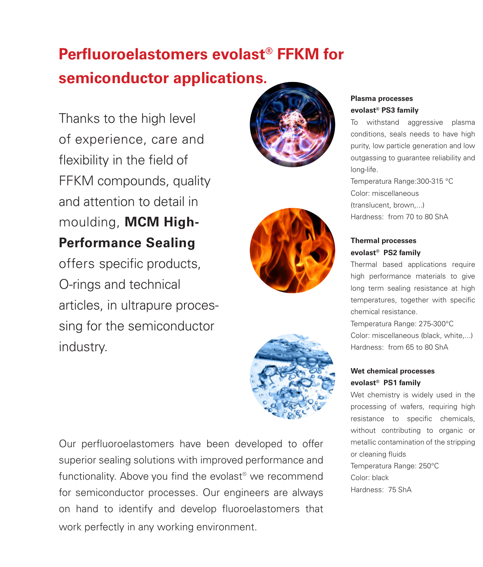## **Perfluoroelastomers evolast<sup>®</sup> FFKM for semiconductor applications.**

Thanks to the high level of experience, care and flexibility in the field of FFKM compounds, quality and attention to detail in moulding, **MCM High-Performance Sealing**

offers specific products, O-rings and technical articles, in ultrapure processing for the semiconductor industry.







Our perfluoroelastomers have been developed to offer superior sealing solutions with improved performance and functionality. Above you find the evolast<sup>®</sup> we recommend for semiconductor processes. Our engineers are always on hand to identify and develop fluoroelastomers that work perfectly in any working environment.

### **Plasma processes evolast® PS3 family**

To withstand aggressive plasma conditions, seals needs to have high purity, low particle generation and low outgassing to guarantee reliability and long-life.

Temperatura Range:300-315 °C Color: miscellaneous (translucent, brown,...) Hardness: from 70 to 80 ShA

### **Thermal processes evolast® PS2 family**

Thermal based applications require high performance materials to give long term sealing resistance at high temperatures, together with specific chemical resistance.

Temperatura Range: 275-300°C Color: miscellaneous (black, white,...) Hardness: from 65 to 80 ShA

### **Wet chemical processes evolast® PS1 family**

Wet chemistry is widely used in the processing of wafers, requiring high resistance to specific chemicals, without contributing to organic or metallic contamination of the stripping or cleaning fluids Temperatura Range: 250°C Color: black Hardness: 75 ShA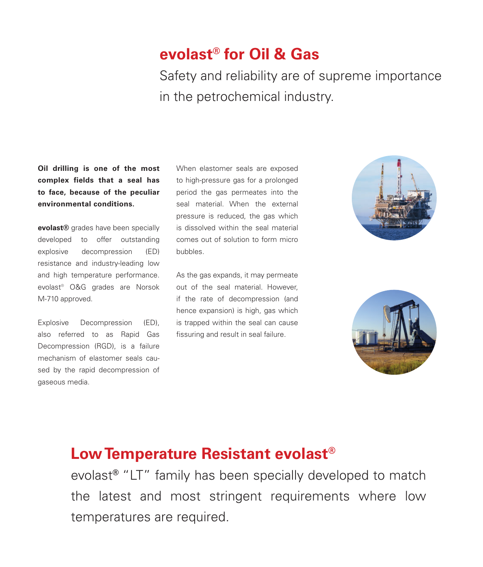## **evolast® for Oil & Gas**

Safety and reliability are of supreme importance in the petrochemical industry.

**Oil drilling is one of the most complex fields that a seal has to face, because of the peculiar environmental conditions.**

**evolast®** grades have been specially developed to offer outstanding explosive decompression (ED) resistance and industry-leading low and high temperature performance. evolast® O&G grades are Norsok M-710 approved.

Explosive Decompression (ED), also referred to as Rapid Gas Decompression (RGD), is a failure mechanism of elastomer seals caused by the rapid decompression of gaseous media.

When elastomer seals are exposed to high-pressure gas for a prolonged period the gas permeates into the seal material. When the external pressure is reduced, the gas which is dissolved within the seal material comes out of solution to form micro bubbles.

As the gas expands, it may permeate out of the seal material. However, if the rate of decompression (and hence expansion) is high, gas which is trapped within the seal can cause fissuring and result in seal failure.





## **Low Temperature Resistant evolast®**

evolast**®** "LT" family has been specially developed to match the latest and most stringent requirements where low temperatures are required.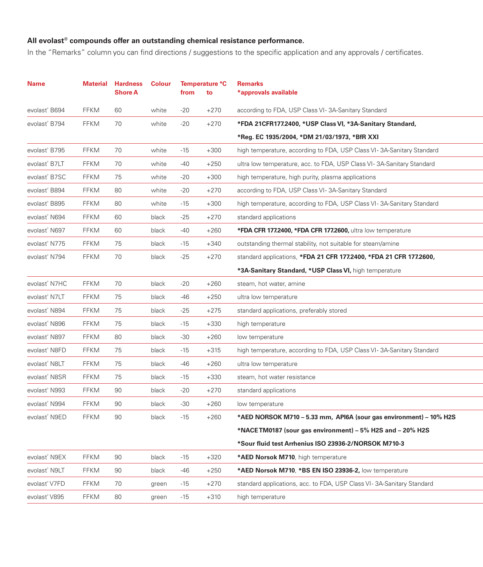### All evolast<sup>®</sup> compounds offer an outstanding chemical resistance performance.

In the "Remarks" column you can find directions / suggestions to the specific application and any approvals / certificates.

| <b>Name</b>               | <b>Material</b> | <b>Hardness</b><br>Shore A | <b>Colour</b> | from  | Temperature °C<br>to | <b>Remarks</b><br>*approvals available                                |
|---------------------------|-----------------|----------------------------|---------------|-------|----------------------|-----------------------------------------------------------------------|
| evolast <sup>®</sup> B694 | <b>FFKM</b>     | 60                         | white         | -20   | $+270$               | according to FDA, USP Class VI-3A-Sanitary Standard                   |
| evolast <sup>®</sup> B794 | <b>FFKM</b>     | 70                         | white         | $-20$ | $+270$               | *FDA 21CFR177.2400, *USP Class VI, *3A-Sanitary Standard,             |
|                           |                 |                            |               |       |                      | *Reg. EC 1935/2004, *DM 21/03/1973, *BfR XXI                          |
| evolast <sup>®</sup> B795 | <b>FFKM</b>     | 70                         | white         | -15   | $+300$               | high temperature, according to FDA, USP Class VI-3A-Sanitary Standard |
| evolast <sup>®</sup> B7LT | FFKM            | 70                         | white         | -40   | $+250$               | ultra low temperature, acc. to FDA, USP Class VI-3A-Sanitary Standard |
| evolast <sup>®</sup> B7SC | <b>FFKM</b>     | 75                         | white         | -20   | $+300$               | high temperature, high purity, plasma applications                    |
| evolast <sup>®</sup> B894 | <b>FFKM</b>     | 80                         | white         | -20   | $+270$               | according to FDA, USP Class VI-3A-Sanitary Standard                   |
| evolast® B895             | <b>FFKM</b>     | 80                         | white         | -15   | $+300$               | high temperature, according to FDA, USP Class VI-3A-Sanitary Standard |
| evolast <sup>®</sup> N694 | <b>FFKM</b>     | 60                         | black         | -25   | $+270$               | standard applications                                                 |
| evolast® N697             | <b>FFKM</b>     | 60                         | black         | -40   | $+260$               | *FDA CFR 177.2400, *FDA CFR 177.2600, ultra low temperature           |
| evolast <sup>®</sup> N775 | <b>FFKM</b>     | 75                         | black         | -15   | $+340$               | outstanding thermal stability, not suitable for steam/amine           |
| evolast <sup>®</sup> N794 | <b>FFKM</b>     | 70                         | black         | $-25$ | $+270$               | standard applications, *FDA 21 CFR 177.2400, *FDA 21 CFR 177.2600,    |
|                           |                 |                            |               |       |                      | *3A-Sanitary Standard, *USP Class VI, high temperature                |
| evolast <sup>®</sup> N7HC | <b>FFKM</b>     | 70                         | black         | -20   | $+260$               | steam, hot water, amine                                               |
| evolast <sup>®</sup> N7LT | <b>FFKM</b>     | 75                         | black         | -46   | $+250$               | ultra low temperature                                                 |
| evolast® N894             | <b>FFKM</b>     | 75                         | black         | -25   | $+275$               | standard applications, preferably stored                              |
| evolast <sup>®</sup> N896 | <b>FFKM</b>     | 75                         | black         | -15   | $+330$               | high temperature                                                      |
| evolast® N897             | <b>FFKM</b>     | 80                         | black         | -30   | $+260$               | low temperature                                                       |
| evolast® N8FD             | <b>FFKM</b>     | 75                         | black         | -15   | $+315$               | high temperature, according to FDA, USP Class VI-3A-Sanitary Standard |
| evolast® N8LT             | <b>FFKM</b>     | 75                         | black         | -46   | $+260$               | ultra low temperature                                                 |
| evolast <sup>®</sup> N8SR | <b>FFKM</b>     | 75                         | black         | -15   | $+330$               | steam, hot water resistance                                           |
| evolast <sup>®</sup> N993 | <b>FFKM</b>     | 90                         | black         | $-20$ | $+270$               | standard applications                                                 |
| evolast <sup>®</sup> N994 | <b>FFKM</b>     | 90                         | black         | -30   | $+260$               | low temperature                                                       |
| evolast® N9ED             | <b>FFKM</b>     | 90                         | black         | $-15$ | $+260$               | *AED NORSOK M710 - 5.33 mm, API6A (sour gas environment) - 10% H2S    |
|                           |                 |                            |               |       |                      | *NACE TM0187 (sour gas environment) – 5% H2S and – 20% H2S            |
|                           |                 |                            |               |       |                      | *Sour fluid test Arrhenius ISO 23936-2/NORSOK M710-3                  |
| evolast <sup>®</sup> N9EX | <b>FFKM</b>     | 90                         | black         | -15   | $+320$               | *AED Norsok M710, high temperature                                    |
| evolast® N9LT             | <b>FFKM</b>     | 90                         | black         | $-46$ | $+250$               | *AED Norsok M710, *BS EN ISO 23936-2, low temperature                 |
| evolast® V7FD             | <b>FFKM</b>     | 70                         | green         | -15   | $+270$               | standard applications, acc. to FDA, USP Class VI-3A-Sanitary Standard |
| evolast® V895             | <b>FFKM</b>     | 80                         | green         | $-15$ | $+310$               | high temperature                                                      |